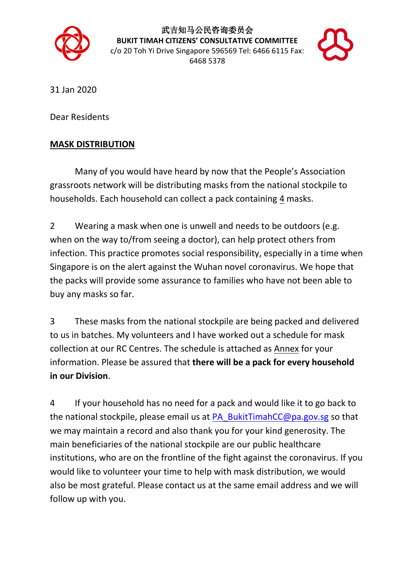

武吉知马公民咨询委员会 **BUKIT TIMAH CITIZENS' CONSULTATIVE COMMITTEE** c/o 20 Toh Yi Drive Singapore 596569 Tel: 6466 6115 Fax: 6468 5378



31 Jan 2020

Dear Residents

## **MASK DISTRIBUTION**

Many of you would have heard by now that the People's Association grassroots network will be distributing masks from the national stockpile to households. Each household can collect a pack containing 4 masks.

2 Wearing a mask when one is unwell and needs to be outdoors (e.g. when on the way to/from seeing a doctor), can help protect others from infection. This practice promotes social responsibility, especially in a time when Singapore is on the alert against the Wuhan novel coronavirus. We hope that the packs will provide some assurance to families who have not been able to buy any masks so far.

3 These masks from the national stockpile are being packed and delivered to us in batches. My volunteers and I have worked out a schedule for mask collection at our RC Centres. The schedule is attached as Annex for your information. Please be assured that **there will be a pack for every household in our Division**.

4 If your household has no need for a pack and would like it to go back to the national stockpile, please email us at [PA\\_BukitTimahCC@pa.gov.sg](mailto:PA_BukitTimahCC@pa.gov.sg) so that we may maintain a record and also thank you for your kind generosity. The main beneficiaries of the national stockpile are our public healthcare institutions, who are on the frontline of the fight against the coronavirus. If you would like to volunteer your time to help with mask distribution, we would also be most grateful. Please contact us at the same email address and we will follow up with you.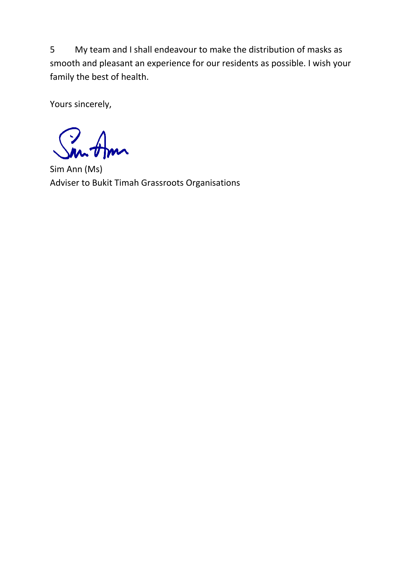5 My team and I shall endeavour to make the distribution of masks as smooth and pleasant an experience for our residents as possible. I wish your family the best of health.

Yours sincerely,

Sim Ann (Ms) Adviser to Bukit Timah Grassroots Organisations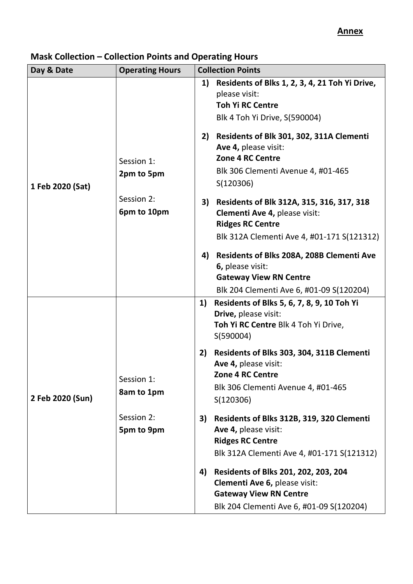## **Annex**

| Day & Date       | <b>Operating Hours</b>    |          | <b>Collection Points</b>                                                                                                                                                                                                                                               |  |
|------------------|---------------------------|----------|------------------------------------------------------------------------------------------------------------------------------------------------------------------------------------------------------------------------------------------------------------------------|--|
| 1 Feb 2020 (Sat) | Session 1:<br>2pm to 5pm  | 1)<br>2) | Residents of Blks 1, 2, 3, 4, 21 Toh Yi Drive,<br>please visit:<br><b>Toh Yi RC Centre</b><br>Blk 4 Toh Yi Drive, S(590004)<br>Residents of Blk 301, 302, 311A Clementi<br>Ave 4, please visit:<br>Zone 4 RC Centre<br>Blk 306 Clementi Avenue 4, #01-465<br>S(120306) |  |
|                  | Session 2:<br>6pm to 10pm | 3)       | Residents of Blk 312A, 315, 316, 317, 318<br>Clementi Ave 4, please visit:<br><b>Ridges RC Centre</b><br>Blk 312A Clementi Ave 4, #01-171 S(121312)                                                                                                                    |  |
|                  |                           | 4)       | <b>Residents of Blks 208A, 208B Clementi Ave</b><br>6, please visit:<br><b>Gateway View RN Centre</b><br>Blk 204 Clementi Ave 6, #01-09 S(120204)                                                                                                                      |  |
| 2 Feb 2020 (Sun) |                           | 1)       | Residents of Blks 5, 6, 7, 8, 9, 10 Toh Yi<br>Drive, please visit:<br>Toh Yi RC Centre Blk 4 Toh Yi Drive,<br>S(590004)                                                                                                                                                |  |
|                  | Session 1:<br>8am to 1pm  | 2)       | Residents of Blks 303, 304, 311B Clementi<br>Ave 4, please visit:<br>Zone 4 RC Centre<br>Blk 306 Clementi Avenue 4, #01-465<br>S(120306)                                                                                                                               |  |
|                  | Session 2:<br>5pm to 9pm  | 3)       | Residents of Blks 312B, 319, 320 Clementi<br>Ave 4, please visit:<br><b>Ridges RC Centre</b><br>Blk 312A Clementi Ave 4, #01-171 S(121312)                                                                                                                             |  |
|                  |                           | 4)       | Residents of Blks 201, 202, 203, 204<br>Clementi Ave 6, please visit:<br><b>Gateway View RN Centre</b><br>Blk 204 Clementi Ave 6, #01-09 S(120204)                                                                                                                     |  |